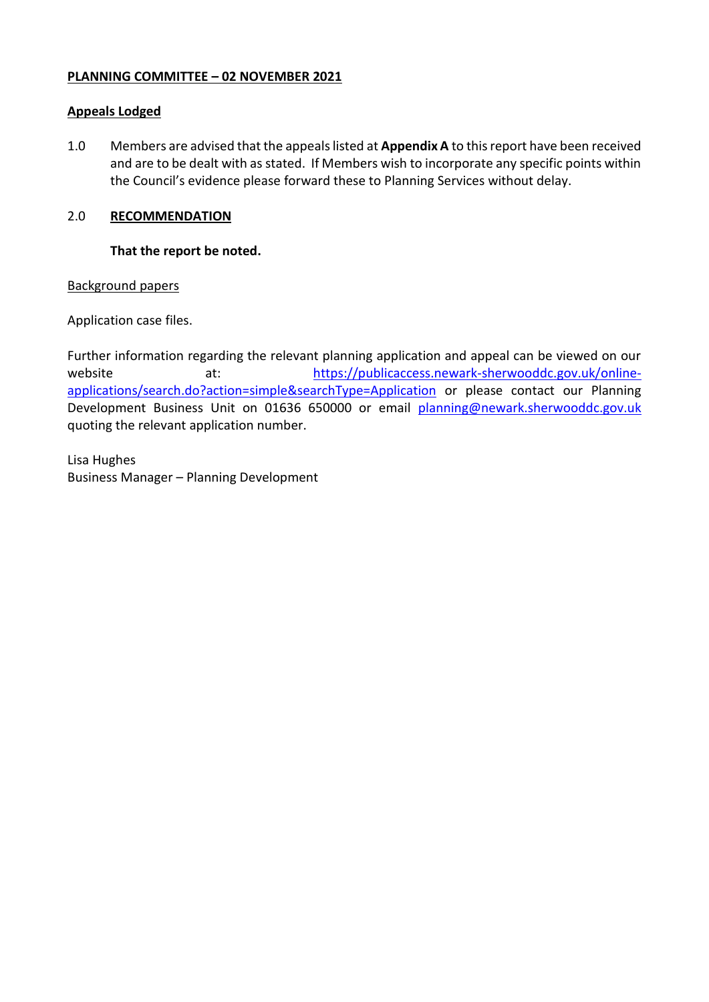## **PLANNING COMMITTEE – 02 NOVEMBER 2021**

## **Appeals Lodged**

1.0 Members are advised that the appeals listed at **Appendix A** to this report have been received and are to be dealt with as stated. If Members wish to incorporate any specific points within the Council's evidence please forward these to Planning Services without delay.

# 2.0 **RECOMMENDATION**

## **That the report be noted.**

## Background papers

Application case files.

Further information regarding the relevant planning application and appeal can be viewed on our website at: [https://publicaccess.newark-sherwooddc.gov.uk/online](https://publicaccess.newark-sherwooddc.gov.uk/online-applications/search.do?action=simple&searchType=Application)[applications/search.do?action=simple&searchType=Application](https://publicaccess.newark-sherwooddc.gov.uk/online-applications/search.do?action=simple&searchType=Application) or please contact our Planning Development Business Unit on 01636 650000 or email [planning@newark.sherwooddc.gov.uk](mailto:planning@newark.sherwooddc.gov.uk) quoting the relevant application number.

Lisa Hughes Business Manager – Planning Development